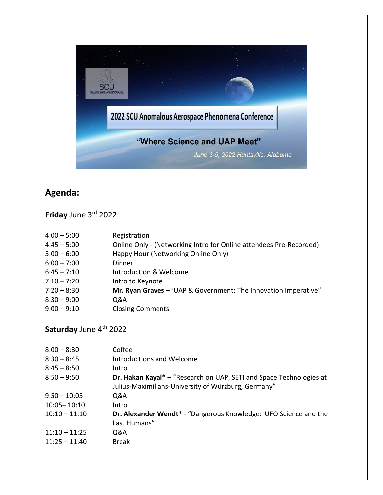

## **Agenda:**

**Friday** June 3rd 2022

| $4:00 - 5:00$ | Registration                                                       |
|---------------|--------------------------------------------------------------------|
| $4:45 - 5:00$ | Online Only - (Networking Intro for Online attendees Pre-Recorded) |
| $5:00 - 6:00$ | Happy Hour (Networking Online Only)                                |
| $6:00 - 7:00$ | Dinner                                                             |
| $6:45 - 7:10$ | Introduction & Welcome                                             |
| $7:10 - 7:20$ | Intro to Keynote                                                   |
| $7:20 - 8:30$ | Mr. Ryan Graves - "UAP & Government: The Innovation Imperative"    |
| $8:30 - 9:00$ | Q&A                                                                |
| $9:00 - 9:10$ | <b>Closing Comments</b>                                            |
|               |                                                                    |

## **Saturday** June 4<sup>th</sup> 2022

| $8:00 - 8:30$   | Coffee                                                                                                                     |
|-----------------|----------------------------------------------------------------------------------------------------------------------------|
| $8:30 - 8:45$   | Introductions and Welcome                                                                                                  |
| $8:45 - 8:50$   | Intro                                                                                                                      |
| $8:50 - 9:50$   | Dr. Hakan Kayal* - "Research on UAP, SETI and Space Technologies at<br>Julius-Maximilians-University of Würzburg, Germany" |
| $9:50 - 10:05$  | Q&A                                                                                                                        |
| $10:05 - 10:10$ | Intro                                                                                                                      |
| $10:10 - 11:10$ | Dr. Alexander Wendt* - "Dangerous Knowledge: UFO Science and the<br>Last Humans"                                           |
| $11:10 - 11:25$ | Q&A                                                                                                                        |
| $11:25 - 11:40$ | <b>Break</b>                                                                                                               |